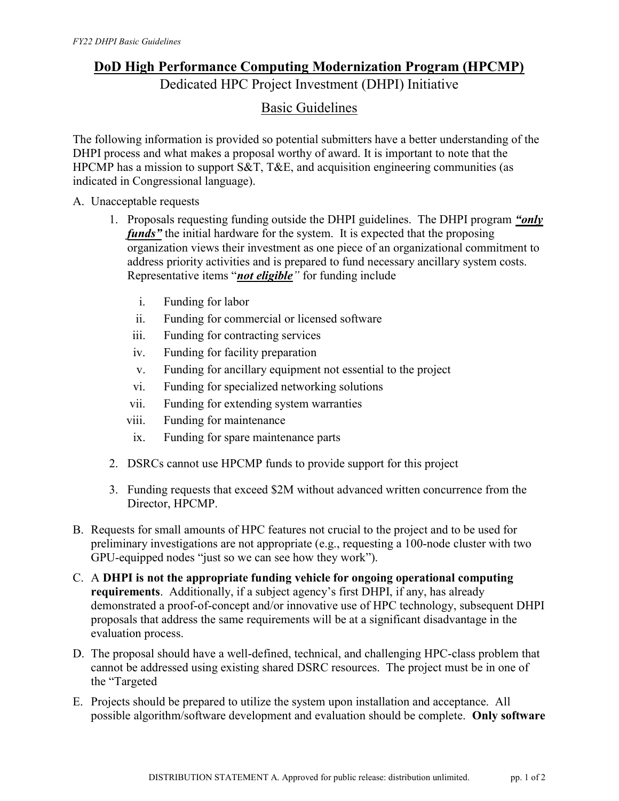## DoD High Performance Computing Modernization Program (HPCMP) Dedicated HPC Project Investment (DHPI) Initiative

## Basic Guidelines

The following information is provided so potential submitters have a better understanding of the DHPI process and what makes a proposal worthy of award. It is important to note that the HPCMP has a mission to support S&T, T&E, and acquisition engineering communities (as indicated in Congressional language).

A. Unacceptable requests

- 1. Proposals requesting funding outside the DHPI guidelines. The DHPI program "only funds" the initial hardware for the system. It is expected that the proposing organization views their investment as one piece of an organizational commitment to address priority activities and is prepared to fund necessary ancillary system costs. Representative items "*not eligible*" for funding include
	- i. Funding for labor
	- ii. Funding for commercial or licensed software
	- iii. Funding for contracting services
	- iv. Funding for facility preparation
	- v. Funding for ancillary equipment not essential to the project
	- vi. Funding for specialized networking solutions
	- vii. Funding for extending system warranties
	- viii. Funding for maintenance
	- ix. Funding for spare maintenance parts
- 2. DSRCs cannot use HPCMP funds to provide support for this project
- 3. Funding requests that exceed \$2M without advanced written concurrence from the Director, HPCMP.
- B. Requests for small amounts of HPC features not crucial to the project and to be used for preliminary investigations are not appropriate (e.g., requesting a 100-node cluster with two GPU-equipped nodes "just so we can see how they work").
- C. A DHPI is not the appropriate funding vehicle for ongoing operational computing requirements. Additionally, if a subject agency's first DHPI, if any, has already demonstrated a proof-of-concept and/or innovative use of HPC technology, subsequent DHPI proposals that address the same requirements will be at a significant disadvantage in the evaluation process.
- D. The proposal should have a well-defined, technical, and challenging HPC-class problem that cannot be addressed using existing shared DSRC resources. The project must be in one of the "Targeted
- E. Projects should be prepared to utilize the system upon installation and acceptance. All possible algorithm/software development and evaluation should be complete. Only software